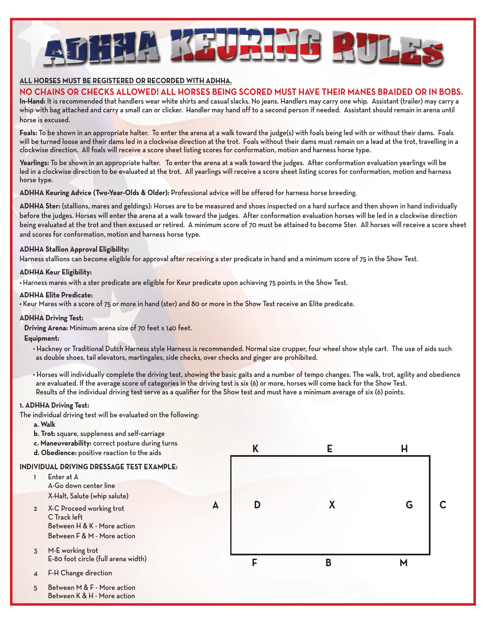

## **ALL HORSES MUST BE REGISTERED OR RECORDED WITH ADHHA.**

## **NO CHAINS OR CHECKS ALLOWED! ALL HORSES BEING SCORED MUST HAVE THEIR MANES BRAIDED OR IN BOBS.**

**In-Hand:** It is recommended that handlers wear white shirts and casual slacks. No jeans. Handlers may carry one whip. Assistant (trailer) may carry a whip with bag attached and carry a small can or clicker. Handler may hand off to a second person if needed. Assistant should remain in arena until horse is excused.

**Foals:** To be shown in an appropriate halter. To enter the arena at a walk toward the judge(s) with foals being led with or without their dams. Foals will be turned loose and their dams led in a clockwise direction at the trot. Foals without their dams must remain on a lead at the trot, travelling in a clockwise direction. All foals will receive a score sheet listing scores for conformation, motion and harness horse type.

**Yearlings:** To be shown in an appropriate halter. To enter the arena at a walk toward the judges. After conformation evaluation yearlings will be led in a clockwise direction to be evaluated at the trot. All yearlings will receive a score sheet listing scores for conformation, motion and harness horse type.

**ADHHA Keuring Advice (Two-Year-Olds & Older):** Professional advice will be offered for harness horse breeding.

**ADHHA Ster:** (stallions, mares and geldings): Horses are to be measured and shoes inspected on a hard surface and then shown in hand individually before the judges. Horses will enter the arena at a walk toward the judges. After conformation evaluation horses will be led in a clockwise direction being evaluated at the trot and then excused or retired. A minimum score of 70 must be attained to become Ster. All horses will receive a score sheet and scores for conformation, motion and harness horse type.

## **ADHHA Stallion Approval Eligibility:**

Harness stallions can become eligible for approval after receiving a ster predicate in hand and a minimum score of 75 in the Show Test.

#### **ADHHA Keur Eligibility:**

**•** Harness mares with a ster predicate are eligible for Keur predicate upon achieving 75 points in the Show Test.

#### **ADHHA Elite Predicate:**

**•** Keur Mares with a score of 75 or more in hand (ster) and 80 or more in the Show Test receive an Elite predicate.

#### **ADHHA Driving Test:**

 **Driving Arena:** Minimum arena size of 70 feet x 140 feet.

#### **Equipment:**

- Hackney or Traditional Dutch Harness style Harness is recommended. Normal size crupper, four wheel show style cart. The use of aids such as double shoes, tail elevators, martingales, side checks, over checks and ginger are prohibited.
- Horses will individually complete the driving test, showing the basic gaits and a number of tempo changes. The walk, trot, agility and obedience are evaluated. If the average score of categories in the driving test is six (6) or more, horses will come back for the Show Test. Results of the individual driving test serve as a qualifier for the Show test and must have a minimum average of six (6) points.

#### **1. ADHHA Driving Test:**

The individual driving test will be evaluated on the following:

- **a. Walk**
- **b. Trot:** square, suppleness and self-carriage
- **c. Maneuverability:** correct posture during turns
- **d. Obedience:** positive reaction to the aids

#### **INDIVIDUAL DRIVING DRESSAGE TEST EXAMPLE:**

- 1 Enter at A A-Go down center line X-Halt, Salute (whip salute) 2 X-C Proceed working trot C Track left Between H & K - More action Between F & M - More action 3 M-E working trot E-80 foot circle (full arena width)
- 4 F-H Change direction
- 5 Between M & F More action Between K & H - More action

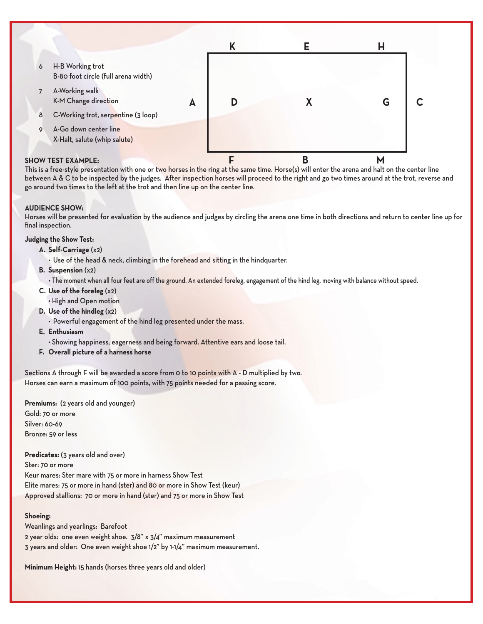|                           |                                                         |   | Κ |   | н |  |
|---------------------------|---------------------------------------------------------|---|---|---|---|--|
| 6                         | H-B Working trot<br>B-80 foot circle (full arena width) |   |   |   |   |  |
| $\overline{7}$            | A-Working walk<br>K-M Change direction                  | A | D |   | G |  |
| 8                         | C-Working trot, serpentine (3 loop)                     |   |   |   |   |  |
| 9                         | A-Go down center line<br>X-Halt, salute (whip salute)   |   |   |   |   |  |
| <b>SHOW TEST EXAMPLE:</b> |                                                         |   |   | B | N |  |

This is a free-style presentation with one or two horses in the ring at the same time. Horse(s) will enter the arena and halt on the center line between A & C to be inspected by the judges. After inspection horses will proceed to the right and go two times around at the trot, reverse and go around two times to the left at the trot and then line up on the center line.

## **AUDIENCE SHOW:**

Horses will be presented for evaluation by the audience and judges by circling the arena one time in both directions and return to center line up for final inspection.

#### **Judging the Show Test:**

- **A. Self-Carriage** (x2)
	- Use of the head & neck, climbing in the forehead and sitting in the hindquarter.
- **B. Suspension** (x2)

 • The moment when all four feet are off the ground. An extended foreleg, engagement of the hind leg, moving with balance without speed.

- **C. Use of the foreleg** (x2) • High and Open motion
- **D. Use of the hindleg** (x2)
	- Powerful engagement of the hind leg presented under the mass.
- **E. Enthusiasm**
	- Showing happiness, eagerness and being forward. Attentive ears and loose tail.
- **F. Overall picture of a harness horse**

Sections A through F will be awarded a score from 0 to 10 points with A - D multiplied by two. Horses can earn a maximum of 100 points, with 75 points needed for a passing score.

**Premiums:** (2 years old and younger) Gold: 70 or more Silver: 60-69 Bronze: 59 or less

**Predicates:** (3 years old and over) Ster: 70 or more Keur mares: Ster mare with 75 or more in harness Show Test Elite mares: 75 or more in hand (ster) and 80 or more in Show Test (keur) Approved stallions: 70 or more in hand (ster) and 75 or more in Show Test

#### **Shoeing:**

Weanlings and yearlings: Barefoot 2 year olds: one even weight shoe. 3/8" x 3/4" maximum measurement 3 years and older: One even weight shoe 1/2" by 1-1/4" maximum measurement.

**Minimum Height:** 15 hands (horses three years old and older)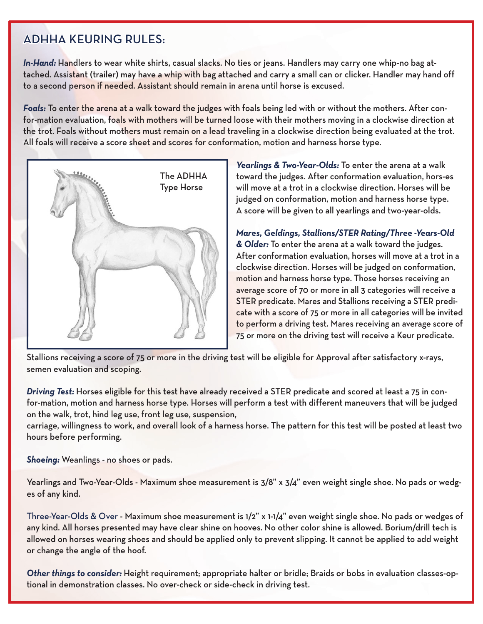# ADHHA KEURING RULES:

**In-Hand:** Handlers to wear white shirts, casual slacks. No ties or jeans. Handlers may carry one whip-no bag attached. Assistant (trailer) may have a whip with bag attached and carry a small can or clicker. Handler may hand off to a second person if needed. Assistant should remain in arena until horse is excused.

**Foals:** To enter the arena at a walk toward the judges with foals being led with or without the mothers. After confor-mation evaluation, foals with mothers will be turned loose with their mothers moving in a clockwise direction at the trot. Foals without mothers must remain on a lead traveling in a clockwise direction being evaluated at the trot. All foals will receive a score sheet and scores for conformation, motion and harness horse type.



**Yearlings & Two-Year-Olds:** To enter the arena at a walk toward the judges. After conformation evaluation, hors-es will move at a trot in a clockwise direction. Horses will be judged on conformation, motion and harness horse type. A score will be given to all yearlings and two-year-olds.

**Mares, Geldings, Stallions/STER Rating/Three -Years-Old & Older:** To enter the arena at a walk toward the judges. After conformation evaluation, horses will move at a trot in a clockwise direction. Horses will be judged on conformation, motion and harness horse type. Those horses receiving an average score of 70 or more in all 3 categories will receive a STER predicate. Mares and Stallions receiving a STER predicate with a score of 75 or more in all categories will be invited to perform a driving test. Mares receiving an average score of 75 or more on the driving test will receive a Keur predicate.

Stallions receiving a score of 75 or more in the driving test will be eligible for Approval after satisfactory x-rays, semen evaluation and scoping.

**Driving Test:** Horses eligible for this test have already received a STER predicate and scored at least a 75 in confor-mation, motion and harness horse type. Horses will perform a test with different maneuvers that will be judged on the walk, trot, hind leg use, front leg use, suspension,

carriage, willingness to work, and overall look of a harness horse. The pattern for this test will be posted at least two hours before performing.

**Shoeing:** Weanlings - no shoes or pads.

Yearlings and Two-Year-Olds - Maximum shoe measurement is  $3/8$ " x  $3/4$ " even weight single shoe. No pads or wedges of any kind.

Three-Year-Olds & Over - Maximum shoe measurement is 1/2" x 1-1/4" even weight single shoe. No pads or wedges of any kind. All horses presented may have clear shine on hooves. No other color shine is allowed. Borium/drill tech is allowed on horses wearing shoes and should be applied only to prevent slipping. It cannot be applied to add weight or change the angle of the hoof.

**Other things to consider:** Height requirement; appropriate halter or bridle; Braids or bobs in evaluation classes-optional in demonstration classes. No over-check or side-check in driving test.